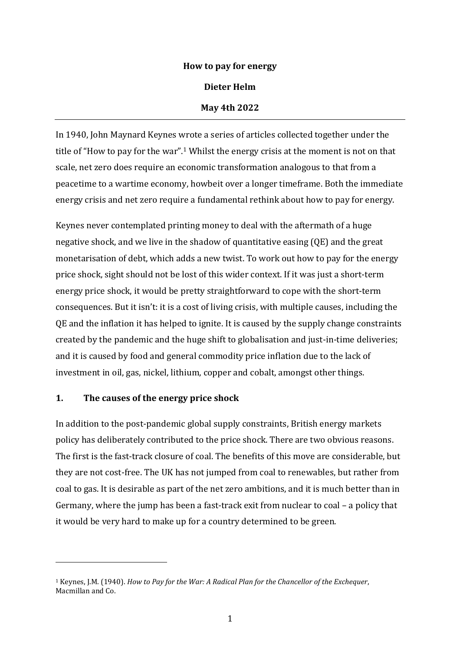### **How to pay for energy**

#### **Dieter Helm**

#### **May 4th 2022**

In 1940, John Maynard Keynes wrote a series of articles collected together under the title of "How to pay for the war".<sup>1</sup> Whilst the energy crisis at the moment is not on that scale, net zero does require an economic transformation analogous to that from a peacetime to a wartime economy, howbeit over a longer timeframe. Both the immediate energy crisis and net zero require a fundamental rethink about how to pay for energy.

Keynes never contemplated printing money to deal with the aftermath of a huge negative shock, and we live in the shadow of quantitative easing (QE) and the great monetarisation of debt, which adds a new twist. To work out how to pay for the energy price shock, sight should not be lost of this wider context. If it was just a short-term energy price shock, it would be pretty straightforward to cope with the short-term consequences. But it isn't: it is a cost of living crisis, with multiple causes, including the QE and the inflation it has helped to ignite. It is caused by the supply change constraints created by the pandemic and the huge shift to globalisation and just-in-time deliveries; and it is caused by food and general commodity price inflation due to the lack of investment in oil, gas, nickel, lithium, copper and cobalt, amongst other things.

### **1. The causes of the energy price shock**

In addition to the post-pandemic global supply constraints, British energy markets policy has deliberately contributed to the price shock. There are two obvious reasons. The first is the fast-track closure of coal. The benefits of this move are considerable, but they are not cost-free. The UK has not jumped from coal to renewables, but rather from coal to gas. It is desirable as part of the net zero ambitions, and it is much better than in Germany, where the jump has been a fast-track exit from nuclear to coal – a policy that it would be very hard to make up for a country determined to be green.

<sup>1</sup> Keynes, J.M. (1940). *How to Pay for the War: A Radical Plan for the Chancellor of the Exchequer*, Macmillan and Co.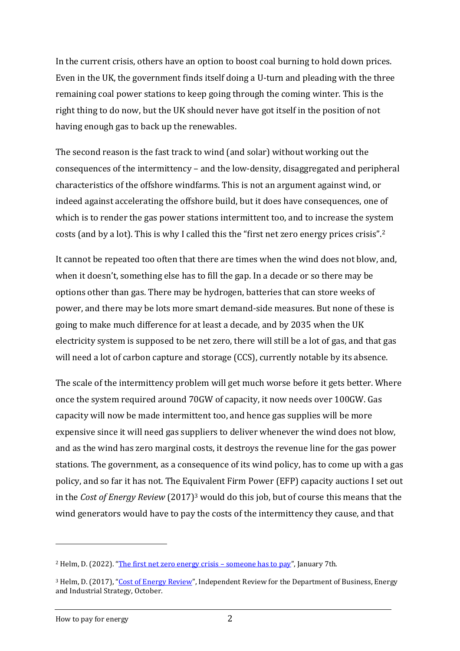In the current crisis, others have an option to boost coal burning to hold down prices. Even in the UK, the government finds itself doing a U-turn and pleading with the three remaining coal power stations to keep going through the coming winter. This is the right thing to do now, but the UK should never have got itself in the position of not having enough gas to back up the renewables.

The second reason is the fast track to wind (and solar) without working out the consequences of the intermittency – and the low-density, disaggregated and peripheral characteristics of the offshore windfarms. This is not an argument against wind, or indeed against accelerating the offshore build, but it does have consequences, one of which is to render the gas power stations intermittent too, and to increase the system costs (and by a lot). This is why I called this the "first net zero energy prices crisis". 2

It cannot be repeated too often that there are times when the wind does not blow, and, when it doesn't, something else has to fill the gap. In a decade or so there may be options other than gas. There may be hydrogen, batteries that can store weeks of power, and there may be lots more smart demand-side measures. But none of these is going to make much difference for at least a decade, and by 2035 when the UK electricity system is supposed to be net zero, there will still be a lot of gas, and that gas will need a lot of carbon capture and storage (CCS), currently notable by its absence.

The scale of the intermittency problem will get much worse before it gets better. Where once the system required around 70GW of capacity, it now needs over 100GW. Gas capacity will now be made intermittent too, and hence gas supplies will be more expensive since it will need gas suppliers to deliver whenever the wind does not blow, and as the wind has zero marginal costs, it destroys the revenue line for the gas power stations. The government, as a consequence of its wind policy, has to come up with a gas policy, and so far it has not. The Equivalent Firm Power (EFP) capacity auctions I set out in the *Cost of Energy Review* (2017)<sup>3</sup> would do this job, but of course this means that the wind generators would have to pay the costs of the intermittency they cause, and that

<sup>2</sup> Helm, D. (2022). "[The first net zero energy crisis](http://www.dieterhelm.co.uk/energy/energy/the-first-net-zero-energy-crisis-someone-has-to-pay-2/) – someone has to pay", January 7th.

<sup>&</sup>lt;sup>3</sup> Helm, D. (2017), "[Cost of Energy Review](https://assets.publishing.service.gov.uk/government/uploads/system/uploads/attachment_data/file/654902/Cost_of_Energy_Review.pdf)", Independent Review for the Department of Business, Energy and Industrial Strategy, October.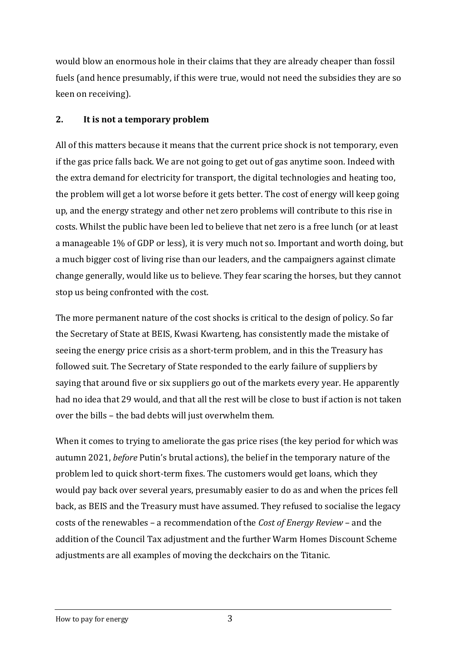would blow an enormous hole in their claims that they are already cheaper than fossil fuels (and hence presumably, if this were true, would not need the subsidies they are so keen on receiving).

## **2. It is not a temporary problem**

All of this matters because it means that the current price shock is not temporary, even if the gas price falls back. We are not going to get out of gas anytime soon. Indeed with the extra demand for electricity for transport, the digital technologies and heating too, the problem will get a lot worse before it gets better. The cost of energy will keep going up, and the energy strategy and other net zero problems will contribute to this rise in costs. Whilst the public have been led to believe that net zero is a free lunch (or at least a manageable 1% of GDP or less), it is very much not so. Important and worth doing, but a much bigger cost of living rise than our leaders, and the campaigners against climate change generally, would like us to believe. They fear scaring the horses, but they cannot stop us being confronted with the cost.

The more permanent nature of the cost shocks is critical to the design of policy. So far the Secretary of State at BEIS, Kwasi Kwarteng, has consistently made the mistake of seeing the energy price crisis as a short-term problem, and in this the Treasury has followed suit. The Secretary of State responded to the early failure of suppliers by saying that around five or six suppliers go out of the markets every year. He apparently had no idea that 29 would, and that all the rest will be close to bust if action is not taken over the bills – the bad debts will just overwhelm them.

When it comes to trying to ameliorate the gas price rises (the key period for which was autumn 2021, *before* Putin's brutal actions), the belief in the temporary nature of the problem led to quick short-term fixes. The customers would get loans, which they would pay back over several years, presumably easier to do as and when the prices fell back, as BEIS and the Treasury must have assumed. They refused to socialise the legacy costs of the renewables – a recommendation of the *Cost of Energy Review* – and the addition of the Council Tax adjustment and the further Warm Homes Discount Scheme adjustments are all examples of moving the deckchairs on the Titanic.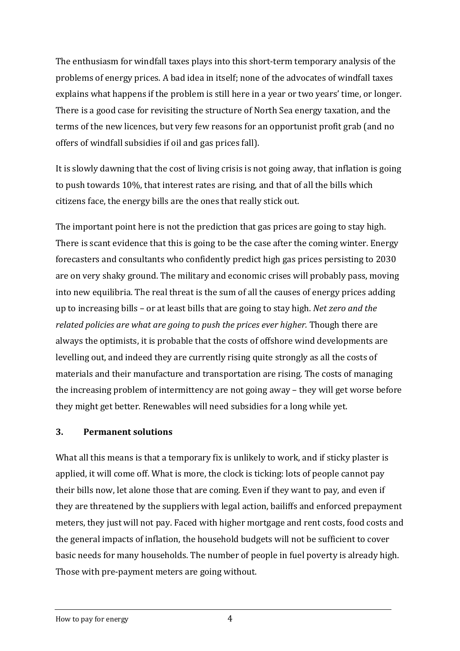The enthusiasm for windfall taxes plays into this short-term temporary analysis of the problems of energy prices. A bad idea in itself; none of the advocates of windfall taxes explains what happens if the problem is still here in a year or two years' time, or longer. There is a good case for revisiting the structure of North Sea energy taxation, and the terms of the new licences, but very few reasons for an opportunist profit grab (and no offers of windfall subsidies if oil and gas prices fall).

It is slowly dawning that the cost of living crisis is not going away, that inflation is going to push towards 10%, that interest rates are rising, and that of all the bills which citizens face, the energy bills are the ones that really stick out.

The important point here is not the prediction that gas prices are going to stay high. There is scant evidence that this is going to be the case after the coming winter. Energy forecasters and consultants who confidently predict high gas prices persisting to 2030 are on very shaky ground. The military and economic crises will probably pass, moving into new equilibria. The real threat is the sum of all the causes of energy prices adding up to increasing bills – or at least bills that are going to stay high. *Net zero and the related policies are what are going to push the prices ever higher.* Though there are always the optimists, it is probable that the costs of offshore wind developments are levelling out, and indeed they are currently rising quite strongly as all the costs of materials and their manufacture and transportation are rising. The costs of managing the increasing problem of intermittency are not going away – they will get worse before they might get better. Renewables will need subsidies for a long while yet.

### **3. Permanent solutions**

What all this means is that a temporary fix is unlikely to work, and if sticky plaster is applied, it will come off. What is more, the clock is ticking: lots of people cannot pay their bills now, let alone those that are coming. Even if they want to pay, and even if they are threatened by the suppliers with legal action, bailiffs and enforced prepayment meters, they just will not pay. Faced with higher mortgage and rent costs, food costs and the general impacts of inflation, the household budgets will not be sufficient to cover basic needs for many households. The number of people in fuel poverty is already high. Those with pre-payment meters are going without.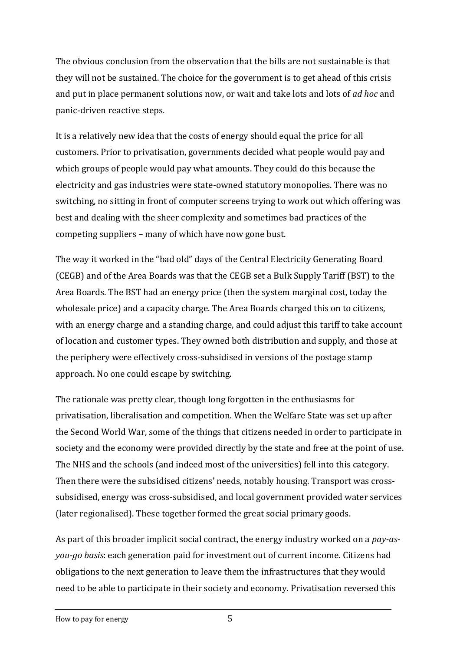The obvious conclusion from the observation that the bills are not sustainable is that they will not be sustained. The choice for the government is to get ahead of this crisis and put in place permanent solutions now, or wait and take lots and lots of *ad hoc* and panic-driven reactive steps.

It is a relatively new idea that the costs of energy should equal the price for all customers. Prior to privatisation, governments decided what people would pay and which groups of people would pay what amounts. They could do this because the electricity and gas industries were state-owned statutory monopolies. There was no switching, no sitting in front of computer screens trying to work out which offering was best and dealing with the sheer complexity and sometimes bad practices of the competing suppliers – many of which have now gone bust.

The way it worked in the "bad old" days of the Central Electricity Generating Board (CEGB) and of the Area Boards was that the CEGB set a Bulk Supply Tariff (BST) to the Area Boards. The BST had an energy price (then the system marginal cost, today the wholesale price) and a capacity charge. The Area Boards charged this on to citizens, with an energy charge and a standing charge, and could adjust this tariff to take account of location and customer types. They owned both distribution and supply, and those at the periphery were effectively cross-subsidised in versions of the postage stamp approach. No one could escape by switching.

The rationale was pretty clear, though long forgotten in the enthusiasms for privatisation, liberalisation and competition. When the Welfare State was set up after the Second World War, some of the things that citizens needed in order to participate in society and the economy were provided directly by the state and free at the point of use. The NHS and the schools (and indeed most of the universities) fell into this category. Then there were the subsidised citizens' needs, notably housing. Transport was crosssubsidised, energy was cross-subsidised, and local government provided water services (later regionalised). These together formed the great social primary goods.

As part of this broader implicit social contract, the energy industry worked on a *pay-asyou-go basis*: each generation paid for investment out of current income. Citizens had obligations to the next generation to leave them the infrastructures that they would need to be able to participate in their society and economy. Privatisation reversed this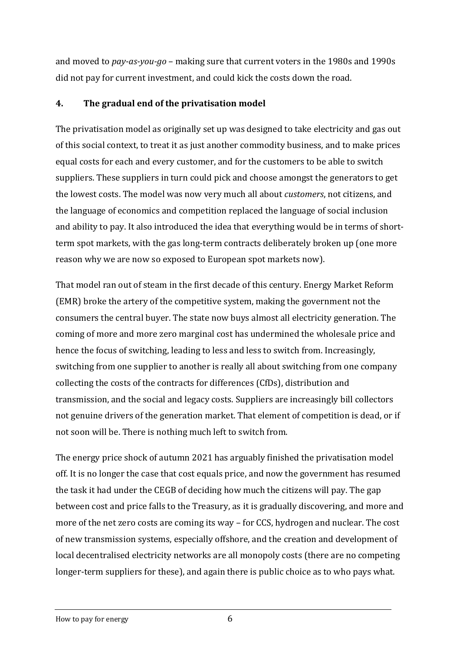and moved to *pay-as-you-go* – making sure that current voters in the 1980s and 1990s did not pay for current investment, and could kick the costs down the road.

# **4. The gradual end of the privatisation model**

The privatisation model as originally set up was designed to take electricity and gas out of this social context, to treat it as just another commodity business, and to make prices equal costs for each and every customer, and for the customers to be able to switch suppliers. These suppliers in turn could pick and choose amongst the generators to get the lowest costs. The model was now very much all about *customers*, not citizens, and the language of economics and competition replaced the language of social inclusion and ability to pay. It also introduced the idea that everything would be in terms of shortterm spot markets, with the gas long-term contracts deliberately broken up (one more reason why we are now so exposed to European spot markets now).

That model ran out of steam in the first decade of this century. Energy Market Reform (EMR) broke the artery of the competitive system, making the government not the consumers the central buyer. The state now buys almost all electricity generation. The coming of more and more zero marginal cost has undermined the wholesale price and hence the focus of switching, leading to less and less to switch from. Increasingly, switching from one supplier to another is really all about switching from one company collecting the costs of the contracts for differences (CfDs), distribution and transmission, and the social and legacy costs. Suppliers are increasingly bill collectors not genuine drivers of the generation market. That element of competition is dead, or if not soon will be. There is nothing much left to switch from.

The energy price shock of autumn 2021 has arguably finished the privatisation model off. It is no longer the case that cost equals price, and now the government has resumed the task it had under the CEGB of deciding how much the citizens will pay. The gap between cost and price falls to the Treasury, as it is gradually discovering, and more and more of the net zero costs are coming its way – for CCS, hydrogen and nuclear. The cost of new transmission systems, especially offshore, and the creation and development of local decentralised electricity networks are all monopoly costs (there are no competing longer-term suppliers for these), and again there is public choice as to who pays what.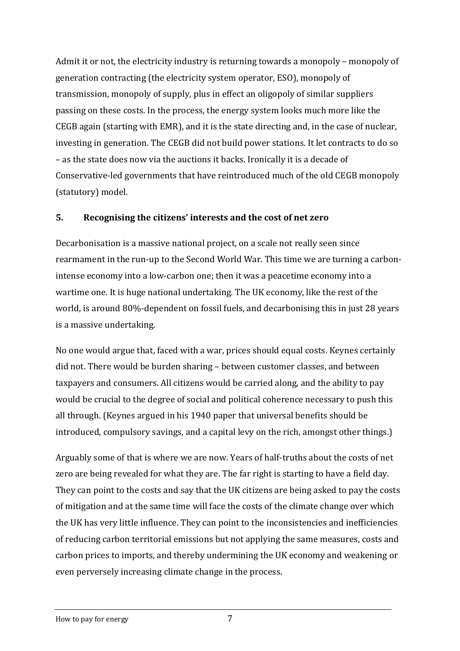Admit it or not, the electricity industry is returning towards a monopoly – monopoly of generation contracting (the electricity system operator, ESO), monopoly of transmission, monopoly of supply, plus in effect an oligopoly of similar suppliers passing on these costs. In the process, the energy system looks much more like the CEGB again (starting with EMR), and it is the state directing and, in the case of nuclear, investing in generation. The CEGB did not build power stations. It let contracts to do so – as the state does now via the auctions it backs. Ironically it is a decade of Conservative-led governments that have reintroduced much of the old CEGB monopoly (statutory) model.

### **5. Recognising the citizens' interests and the cost of net zero**

Decarbonisation is a massive national project, on a scale not really seen since rearmament in the run-up to the Second World War. This time we are turning a carbonintense economy into a low-carbon one; then it was a peacetime economy into a wartime one. It is huge national undertaking. The UK economy, like the rest of the world, is around 80%-dependent on fossil fuels, and decarbonising this in just 28 years is a massive undertaking.

No one would argue that, faced with a war, prices should equal costs. Keynes certainly did not. There would be burden sharing – between customer classes, and between taxpayers and consumers. All citizens would be carried along, and the ability to pay would be crucial to the degree of social and political coherence necessary to push this all through. (Keynes argued in his 1940 paper that universal benefits should be introduced, compulsory savings, and a capital levy on the rich, amongst other things.)

Arguably some of that is where we are now. Years of half-truths about the costs of net zero are being revealed for what they are. The far right is starting to have a field day. They can point to the costs and say that the UK citizens are being asked to pay the costs of mitigation and at the same time will face the costs of the climate change over which the UK has very little influence. They can point to the inconsistencies and inefficiencies of reducing carbon territorial emissions but not applying the same measures, costs and carbon prices to imports, and thereby undermining the UK economy and weakening or even perversely increasing climate change in the process.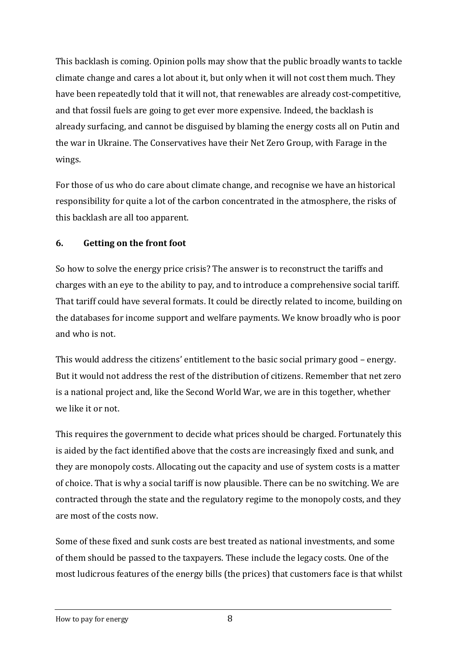This backlash is coming. Opinion polls may show that the public broadly wants to tackle climate change and cares a lot about it, but only when it will not cost them much. They have been repeatedly told that it will not, that renewables are already cost-competitive, and that fossil fuels are going to get ever more expensive. Indeed, the backlash is already surfacing, and cannot be disguised by blaming the energy costs all on Putin and the war in Ukraine. The Conservatives have their Net Zero Group, with Farage in the wings.

For those of us who do care about climate change, and recognise we have an historical responsibility for quite a lot of the carbon concentrated in the atmosphere, the risks of this backlash are all too apparent.

## **6. Getting on the front foot**

So how to solve the energy price crisis? The answer is to reconstruct the tariffs and charges with an eye to the ability to pay, and to introduce a comprehensive social tariff. That tariff could have several formats. It could be directly related to income, building on the databases for income support and welfare payments. We know broadly who is poor and who is not.

This would address the citizens' entitlement to the basic social primary good – energy. But it would not address the rest of the distribution of citizens. Remember that net zero is a national project and, like the Second World War, we are in this together, whether we like it or not.

This requires the government to decide what prices should be charged. Fortunately this is aided by the fact identified above that the costs are increasingly fixed and sunk, and they are monopoly costs. Allocating out the capacity and use of system costs is a matter of choice. That is why a social tariff is now plausible. There can be no switching. We are contracted through the state and the regulatory regime to the monopoly costs, and they are most of the costs now.

Some of these fixed and sunk costs are best treated as national investments, and some of them should be passed to the taxpayers. These include the legacy costs. One of the most ludicrous features of the energy bills (the prices) that customers face is that whilst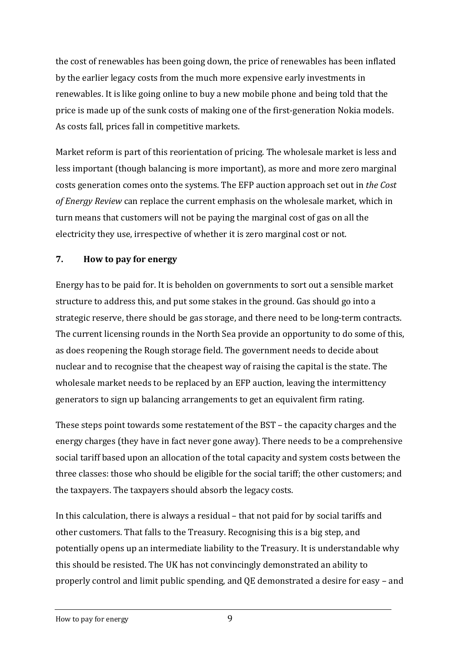the cost of renewables has been going down, the price of renewables has been inflated by the earlier legacy costs from the much more expensive early investments in renewables. It is like going online to buy a new mobile phone and being told that the price is made up of the sunk costs of making one of the first-generation Nokia models. As costs fall, prices fall in competitive markets.

Market reform is part of this reorientation of pricing. The wholesale market is less and less important (though balancing is more important), as more and more zero marginal costs generation comes onto the systems. The EFP auction approach set out in *the Cost of Energy Review* can replace the current emphasis on the wholesale market, which in turn means that customers will not be paying the marginal cost of gas on all the electricity they use, irrespective of whether it is zero marginal cost or not.

## **7. How to pay for energy**

Energy has to be paid for. It is beholden on governments to sort out a sensible market structure to address this, and put some stakes in the ground. Gas should go into a strategic reserve, there should be gas storage, and there need to be long-term contracts. The current licensing rounds in the North Sea provide an opportunity to do some of this, as does reopening the Rough storage field. The government needs to decide about nuclear and to recognise that the cheapest way of raising the capital is the state. The wholesale market needs to be replaced by an EFP auction, leaving the intermittency generators to sign up balancing arrangements to get an equivalent firm rating.

These steps point towards some restatement of the BST – the capacity charges and the energy charges (they have in fact never gone away). There needs to be a comprehensive social tariff based upon an allocation of the total capacity and system costs between the three classes: those who should be eligible for the social tariff; the other customers; and the taxpayers. The taxpayers should absorb the legacy costs.

In this calculation, there is always a residual – that not paid for by social tariffs and other customers. That falls to the Treasury. Recognising this is a big step, and potentially opens up an intermediate liability to the Treasury. It is understandable why this should be resisted. The UK has not convincingly demonstrated an ability to properly control and limit public spending, and QE demonstrated a desire for easy – and